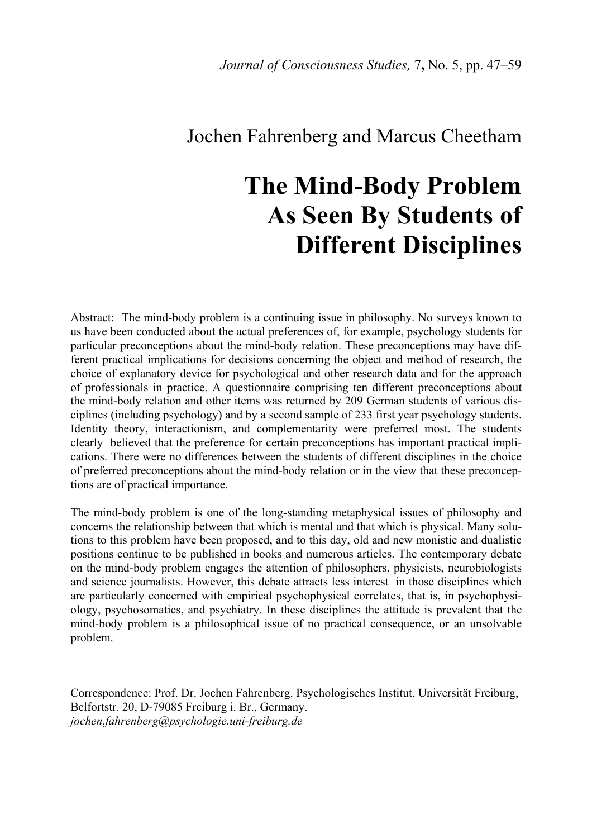# Jochen Fahrenberg and Marcus Cheetham

# **The Mind-Body Problem As Seen By Students of Different Disciplines**

Abstract: The mind-body problem is a continuing issue in philosophy. No surveys known to us have been conducted about the actual preferences of, for example, psychology students for particular preconceptions about the mind-body relation. These preconceptions may have different practical implications for decisions concerning the object and method of research, the choice of explanatory device for psychological and other research data and for the approach of professionals in practice. A questionnaire comprising ten different preconceptions about the mind-body relation and other items was returned by 209 German students of various disciplines (including psychology) and by a second sample of 233 first year psychology students. Identity theory, interactionism, and complementarity were preferred most. The students clearly believed that the preference for certain preconceptions has important practical implications. There were no differences between the students of different disciplines in the choice of preferred preconceptions about the mind-body relation or in the view that these preconceptions are of practical importance.

The mind-body problem is one of the long-standing metaphysical issues of philosophy and concerns the relationship between that which is mental and that which is physical. Many solutions to this problem have been proposed, and to this day, old and new monistic and dualistic positions continue to be published in books and numerous articles. The contemporary debate on the mind-body problem engages the attention of philosophers, physicists, neurobiologists and science journalists. However, this debate attracts less interest in those disciplines which are particularly concerned with empirical psychophysical correlates, that is, in psychophysiology, psychosomatics, and psychiatry. In these disciplines the attitude is prevalent that the mind-body problem is a philosophical issue of no practical consequence, or an unsolvable problem.

Correspondence: Prof. Dr. Jochen Fahrenberg. Psychologisches Institut, Universität Freiburg, Belfortstr. 20, D-79085 Freiburg i. Br., Germany. *jochen.fahrenberg@psychologie.uni-freiburg.de*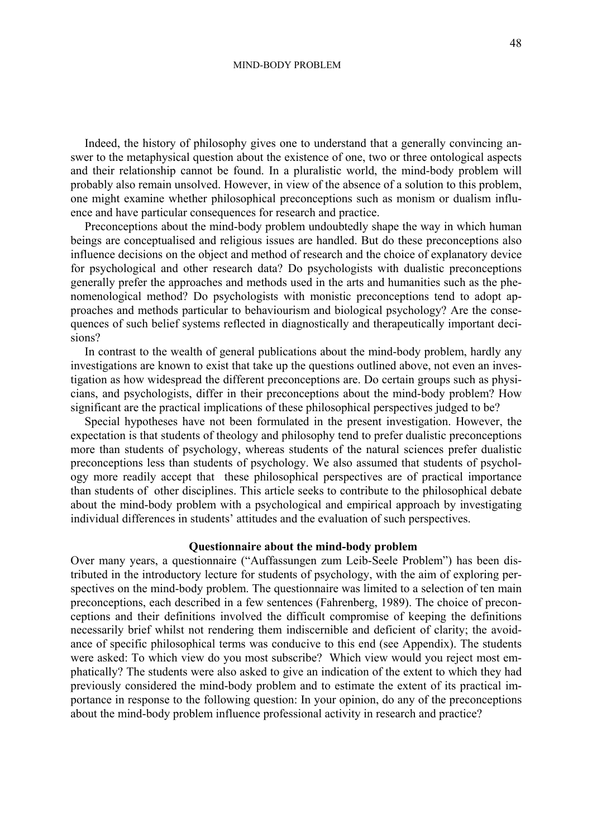Indeed, the history of philosophy gives one to understand that a generally convincing answer to the metaphysical question about the existence of one, two or three ontological aspects and their relationship cannot be found. In a pluralistic world, the mind-body problem will probably also remain unsolved. However, in view of the absence of a solution to this problem, one might examine whether philosophical preconceptions such as monism or dualism influence and have particular consequences for research and practice.

Preconceptions about the mind-body problem undoubtedly shape the way in which human beings are conceptualised and religious issues are handled. But do these preconceptions also influence decisions on the object and method of research and the choice of explanatory device for psychological and other research data? Do psychologists with dualistic preconceptions generally prefer the approaches and methods used in the arts and humanities such as the phenomenological method? Do psychologists with monistic preconceptions tend to adopt approaches and methods particular to behaviourism and biological psychology? Are the consequences of such belief systems reflected in diagnostically and therapeutically important decisions?

In contrast to the wealth of general publications about the mind-body problem, hardly any investigations are known to exist that take up the questions outlined above, not even an investigation as how widespread the different preconceptions are. Do certain groups such as physicians, and psychologists, differ in their preconceptions about the mind-body problem? How significant are the practical implications of these philosophical perspectives judged to be?

Special hypotheses have not been formulated in the present investigation. However, the expectation is that students of theology and philosophy tend to prefer dualistic preconceptions more than students of psychology, whereas students of the natural sciences prefer dualistic preconceptions less than students of psychology. We also assumed that students of psychology more readily accept that these philosophical perspectives are of practical importance than students of other disciplines. This article seeks to contribute to the philosophical debate about the mind-body problem with a psychological and empirical approach by investigating individual differences in students' attitudes and the evaluation of such perspectives.

#### **Questionnaire about the mind-body problem**

Over many years, a questionnaire ("Auffassungen zum Leib-Seele Problem") has been distributed in the introductory lecture for students of psychology, with the aim of exploring perspectives on the mind-body problem. The questionnaire was limited to a selection of ten main preconceptions, each described in a few sentences (Fahrenberg, 1989). The choice of preconceptions and their definitions involved the difficult compromise of keeping the definitions necessarily brief whilst not rendering them indiscernible and deficient of clarity; the avoidance of specific philosophical terms was conducive to this end (see Appendix). The students were asked: To which view do you most subscribe? Which view would you reject most emphatically? The students were also asked to give an indication of the extent to which they had previously considered the mind-body problem and to estimate the extent of its practical importance in response to the following question: In your opinion, do any of the preconceptions about the mind-body problem influence professional activity in research and practice?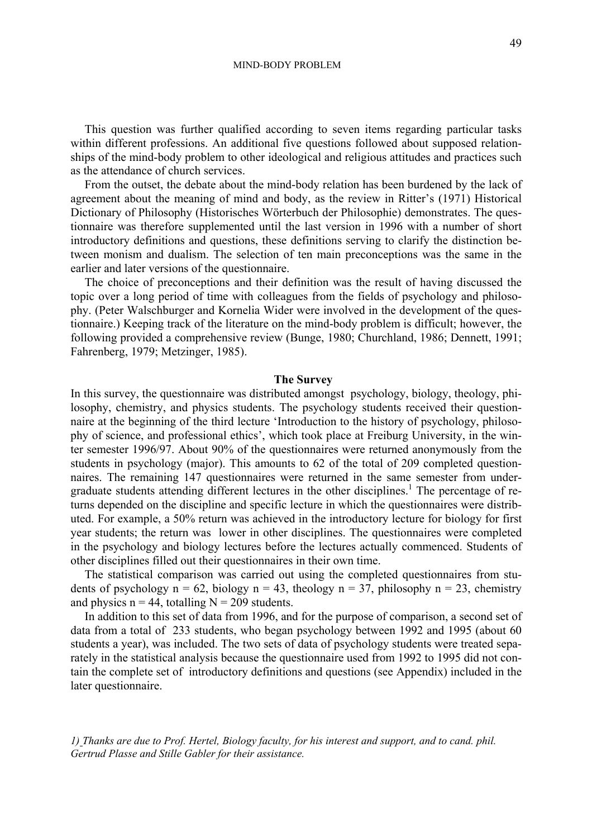#### MIND-BODY PROBLEM

This question was further qualified according to seven items regarding particular tasks within different professions. An additional five questions followed about supposed relationships of the mind-body problem to other ideological and religious attitudes and practices such as the attendance of church services.

From the outset, the debate about the mind-body relation has been burdened by the lack of agreement about the meaning of mind and body, as the review in Ritter's (1971) Historical Dictionary of Philosophy (Historisches Wörterbuch der Philosophie) demonstrates. The questionnaire was therefore supplemented until the last version in 1996 with a number of short introductory definitions and questions, these definitions serving to clarify the distinction between monism and dualism. The selection of ten main preconceptions was the same in the earlier and later versions of the questionnaire.

The choice of preconceptions and their definition was the result of having discussed the topic over a long period of time with colleagues from the fields of psychology and philosophy. (Peter Walschburger and Kornelia Wider were involved in the development of the questionnaire.) Keeping track of the literature on the mind-body problem is difficult; however, the following provided a comprehensive review (Bunge, 1980; Churchland, 1986; Dennett, 1991; Fahrenberg, 1979; Metzinger, 1985).

# **The Survey**

In this survey, the questionnaire was distributed amongst psychology, biology, theology, philosophy, chemistry, and physics students. The psychology students received their questionnaire at the beginning of the third lecture 'Introduction to the history of psychology, philosophy of science, and professional ethics', which took place at Freiburg University, in the winter semester 1996/97. About 90% of the questionnaires were returned anonymously from the students in psychology (major). This amounts to 62 of the total of 209 completed questionnaires. The remaining 147 questionnaires were returned in the same semester from undergraduate students attending different lectures in the other disciplines.<sup>1</sup> The percentage of returns depended on the discipline and specific lecture in which the questionnaires were distributed. For example, a 50% return was achieved in the introductory lecture for biology for first year students; the return was lower in other disciplines. The questionnaires were completed in the psychology and biology lectures before the lectures actually commenced. Students of other disciplines filled out their questionnaires in their own time.

The statistical comparison was carried out using the completed questionnaires from students of psychology  $n = 62$ , biology  $n = 43$ , theology  $n = 37$ , philosophy  $n = 23$ , chemistry and physics  $n = 44$ , totalling  $N = 209$  students.

In addition to this set of data from 1996, and for the purpose of comparison, a second set of data from a total of 233 students, who began psychology between 1992 and 1995 (about 60 students a year), was included. The two sets of data of psychology students were treated separately in the statistical analysis because the questionnaire used from 1992 to 1995 did not contain the complete set of introductory definitions and questions (see Appendix) included in the later questionnaire.

*1) Thanks are due to Prof. Hertel, Biology faculty, for his interest and support, and to cand. phil. Gertrud Plasse and Stille Gabler for their assistance.*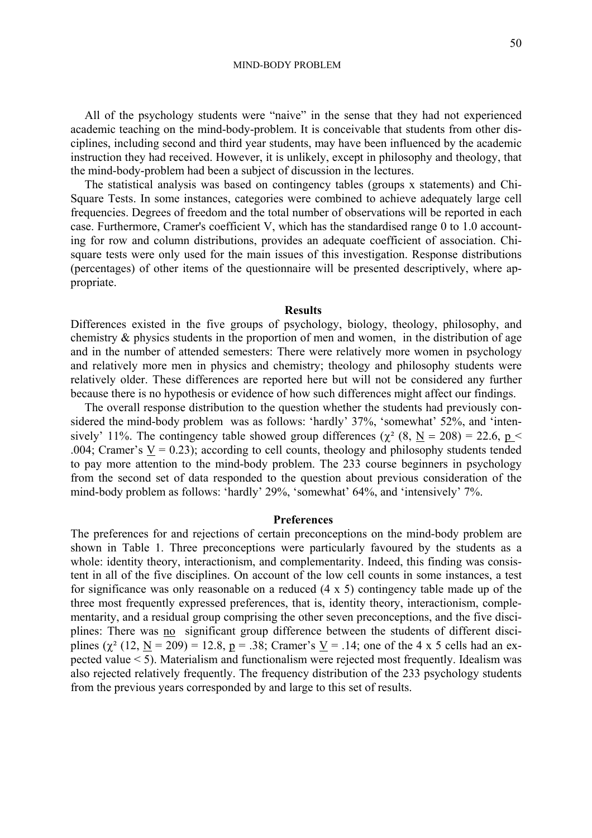MIND-BODY PROBLEM

All of the psychology students were "naive" in the sense that they had not experienced academic teaching on the mind-body-problem. It is conceivable that students from other disciplines, including second and third year students, may have been influenced by the academic instruction they had received. However, it is unlikely, except in philosophy and theology, that the mind-body-problem had been a subject of discussion in the lectures.

The statistical analysis was based on contingency tables (groups x statements) and Chi-Square Tests. In some instances, categories were combined to achieve adequately large cell frequencies. Degrees of freedom and the total number of observations will be reported in each case. Furthermore, Cramer's coefficient V, which has the standardised range 0 to 1.0 accounting for row and column distributions, provides an adequate coefficient of association. Chisquare tests were only used for the main issues of this investigation. Response distributions (percentages) of other items of the questionnaire will be presented descriptively, where appropriate.

#### **Results**

Differences existed in the five groups of psychology, biology, theology, philosophy, and chemistry & physics students in the proportion of men and women, in the distribution of age and in the number of attended semesters: There were relatively more women in psychology and relatively more men in physics and chemistry; theology and philosophy students were relatively older. These differences are reported here but will not be considered any further because there is no hypothesis or evidence of how such differences might affect our findings.

The overall response distribution to the question whether the students had previously considered the mind-body problem was as follows: 'hardly' 37%, 'somewhat' 52%, and 'intensively' 11%. The contingency table showed group differences ( $\chi^2$  (8, N = 208) = 22.6, p < .004; Cramer's  $V = 0.23$ ); according to cell counts, theology and philosophy students tended to pay more attention to the mind-body problem. The 233 course beginners in psychology from the second set of data responded to the question about previous consideration of the mind-body problem as follows: 'hardly' 29%, 'somewhat' 64%, and 'intensively' 7%.

#### **Preferences**

The preferences for and rejections of certain preconceptions on the mind-body problem are shown in Table 1. Three preconceptions were particularly favoured by the students as a whole: identity theory, interactionism, and complementarity. Indeed, this finding was consistent in all of the five disciplines. On account of the low cell counts in some instances, a test for significance was only reasonable on a reduced (4 x 5) contingency table made up of the three most frequently expressed preferences, that is, identity theory, interactionism, complementarity, and a residual group comprising the other seven preconceptions, and the five disciplines: There was no significant group difference between the students of different disciplines  $(\chi^2 (12, N = 209) = 12.8, p = .38;$  Cramer's  $\underline{V} = .14$ ; one of the 4 x 5 cells had an expected value < 5). Materialism and functionalism were rejected most frequently. Idealism was also rejected relatively frequently. The frequency distribution of the 233 psychology students from the previous years corresponded by and large to this set of results.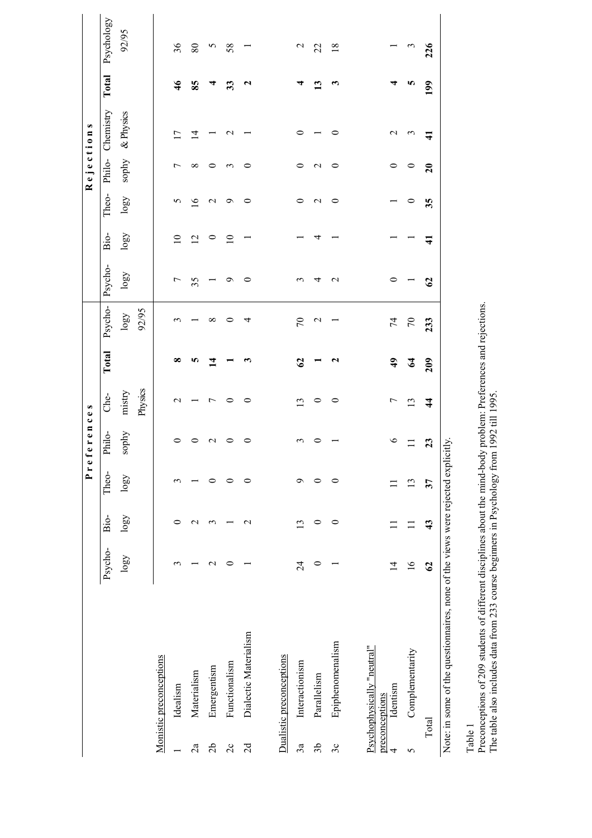|                |                                                                                 |                 |                   | Pref      | erences |                |                       |                 |                |                 |                 | Rejections      |                 |                       |                 |
|----------------|---------------------------------------------------------------------------------|-----------------|-------------------|-----------|---------|----------------|-----------------------|-----------------|----------------|-----------------|-----------------|-----------------|-----------------|-----------------------|-----------------|
|                |                                                                                 | Psycho-         | Bio-              | Theo-     | Philo-  | Che-           | Total                 | Psycho-         | Psycho-        | Bio-            | Theo-           | Philo-          | Chemistry       | Total                 | Psychology      |
|                |                                                                                 | $\log$          | logy              | $\log\!0$ | sophy   | mistry         |                       | logo            | $\log\!0$      | $\log\!0$       | logy            | sophy           | & Physics       |                       | 92/95           |
|                |                                                                                 |                 |                   |           |         | Physics        |                       | 92/95           |                |                 |                 |                 |                 |                       |                 |
|                | Monistic preconceptions                                                         |                 |                   |           |         |                |                       |                 |                |                 |                 |                 |                 |                       |                 |
|                | Idealism                                                                        | 3               | 0                 | 3         |         | $\mathbf 2$    | ∞                     | S               | $\overline{ }$ | $\overline{10}$ | S               | ↽               | $\overline{17}$ | $\frac{4}{6}$         | 36              |
| 2a             | Materialism                                                                     |                 | $\mathbf{\sim}$   |           |         |                | n                     |                 | 35             | $\overline{2}$  | $\circ$         | $^{\circ}$      | $\vec{a}$       | 85                    | 80              |
| $\sqrt{2}$     | Emergentism                                                                     | $\mathbf 2$     | S                 | 0         | $\sim$  | $\overline{ }$ | ᅼ                     | ∞               |                | 0               | $\mathbf{\sim}$ | 0               |                 |                       | S               |
| $\overline{c}$ | Functionalism                                                                   | ∊               |                   | $\circ$   |         | 0              |                       | 0               | ᡋ              | $\overline{10}$ | Ó               | 3               | $\mathbf{\sim}$ | 33                    | 58              |
| 2d             | Dialectic Materialism                                                           |                 | $\mathbf{\Omega}$ | $\circ$   | 0       | 0              | ო                     | 4               | 0              |                 | 0               | 0               |                 | $\mathbf{\mathsf{u}}$ |                 |
|                |                                                                                 |                 |                   |           |         |                |                       |                 |                |                 |                 |                 |                 |                       |                 |
|                | Dualistic preconceptions                                                        |                 |                   |           |         |                |                       |                 |                |                 |                 |                 |                 |                       |                 |
| 3a             | Interactionism                                                                  | $\overline{24}$ | $\overline{c}$    | $\sigma$  |         | $\omega$       | $\mathcal{O}$         | $\mathcal{L}$   |                |                 | 0               | 0               | 0               |                       | $\mathbf 2$     |
| 36             | Parallelism                                                                     | $\circ$         | 0                 | $\circ$   |         | 0              |                       | $\mathbf{\sim}$ | 4              | ↴               | $\mathcal{L}$   | $\mathbf{\sim}$ |                 | $\mathbf{13}$         | 22              |
| 3c             | Epiphenomenalism                                                                |                 | $\circ$           | $\circ$   |         | $\circ$        | $\mathbf{\mathsf{u}}$ |                 | $\mathbf 2$    |                 | 0               | 0               | 0               | ణ                     | $\overline{18}$ |
|                |                                                                                 |                 |                   |           |         |                |                       |                 |                |                 |                 |                 |                 |                       |                 |
| preconceptions | Psychophysically "neutral"                                                      |                 |                   |           |         |                |                       |                 |                |                 |                 |                 |                 |                       |                 |
| 4              | Identism                                                                        | 4               |                   |           | $\circ$ | $\overline{ }$ | $\ddot{ }$            | $\overline{7}$  | 0              |                 |                 | 0               | $\mathbf{\sim}$ |                       |                 |
| 5              | Complementarity                                                                 | $\frac{6}{1}$   |                   | 13        | Ξ       | 13             | $\mathbf{z}$          | $\mathcal{L}$   |                |                 | ⊂               | $\circ$         | $\omega$        | ю                     | $\omega$        |
| Total          |                                                                                 | $\mathcal{O}$   | 43                | 37        | 23      | $\frac{4}{3}$  | 209                   | 233             | $\mathcal{S}$  | $\mathbf{\Xi}$  | 35              | $\overline{20}$ | $\frac{1}{4}$   | 199                   | 226             |
|                | Note: in some of the questionnaires, none of the views were rejected explicitly |                 |                   |           |         |                |                       |                 |                |                 |                 |                 |                 |                       |                 |

Apricitiy.<br>. טענעט.<br>אינגע  $\frac{1}{2}$ 

Table 1<br>Preconceptions of 209 students of different disciplines about the mind-body problem: Preferences and rejections.<br>The table also includes data from 233 course beginners in Psychology from 1992 till 1995. Preconceptions of 209 students of different disciplines about the mind-body problem: Preferences and rejections. The table also includes data from 233 course beginners in Psychology from 1992 till 1995.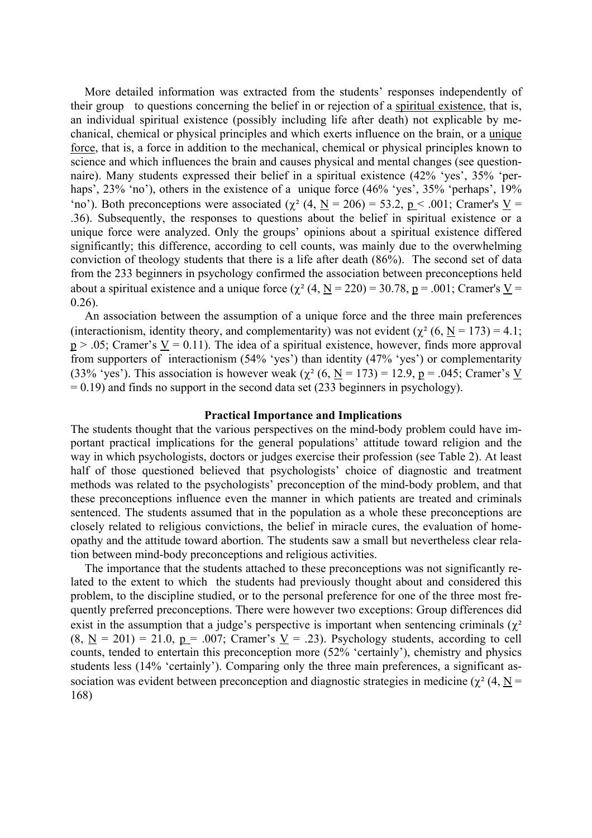More detailed information was extracted from the students' responses independently of their group to questions concerning the belief in or rejection of a spiritual existence, that is, an individual spiritual existence (possibly including life after death) not explicable by mechanical, chemical or physical principles and which exerts influence on the brain, or a unique force, that is, a force in addition to the mechanical, chemical or physical principles known to science and which influences the brain and causes physical and mental changes (see questionnaire). Many students expressed their belief in a spiritual existence (42% 'yes', 35% 'perhaps', 23% 'no'), others in the existence of a unique force (46% 'yes', 35% 'perhaps', 19% 'no'). Both preconceptions were associated ( $\chi^2$  (4, N = 206) = 53.2, p < .001; Cramer's V = .36). Subsequently, the responses to questions about the belief in spiritual existence or a unique force were analyzed. Only the groups' opinions about a spiritual existence differed significantly; this difference, according to cell counts, was mainly due to the overwhelming conviction of theology students that there is a life after death (86%). The second set of data from the 233 beginners in psychology confirmed the association between preconceptions held about a spiritual existence and a unique force  $(\chi^2 (4, N = 220) = 30.78, p = .001$ ; Cramer's V =  $0.26$ 

An association between the assumption of a unique force and the three main preferences (interactionism, identity theory, and complementarity) was not evident ( $\chi^2$  (6, N = 173) = 4.1;  $p > .05$ ; Cramer's  $V = 0.11$ ). The idea of a spiritual existence, however, finds more approval from supporters of interactionism (54% 'yes') than identity (47% 'yes') or complementarity (33% 'yes'). This association is however weak  $(\chi^2 (6, N = 173) = 12.9, p = .045;$  Cramer's V  $= 0.19$ ) and finds no support in the second data set (233 beginners in psychology).

# **Practical Importance and Implications**

The students thought that the various perspectives on the mind-body problem could have important practical implications for the general populations' attitude toward religion and the way in which psychologists, doctors or judges exercise their profession (see Table 2). At least half of those questioned believed that psychologists' choice of diagnostic and treatment methods was related to the psychologists' preconception of the mind-body problem, and that these preconceptions influence even the manner in which patients are treated and criminals sentenced. The students assumed that in the population as a whole these preconceptions are closely related to religious convictions, the belief in miracle cures, the evaluation of homeopathy and the attitude toward abortion. The students saw a small but nevertheless clear relation between mind-body preconceptions and religious activities.

The importance that the students attached to these preconceptions was not significantly related to the extent to which the students had previously thought about and considered this problem, to the discipline studied, or to the personal preference for one of the three most frequently preferred preconceptions. There were however two exceptions: Group differences did exist in the assumption that a judge's perspective is important when sentencing criminals ( $\chi^2$ )  $(8, N = 201) = 21.0$ ,  $p = .007$ ; Cramer's  $V = .23$ ). Psychology students, according to cell counts, tended to entertain this preconception more (52% 'certainly'), chemistry and physics students less (14% 'certainly'). Comparing only the three main preferences, a significant association was evident between preconception and diagnostic strategies in medicine ( $\gamma^2$  (4, N = 168)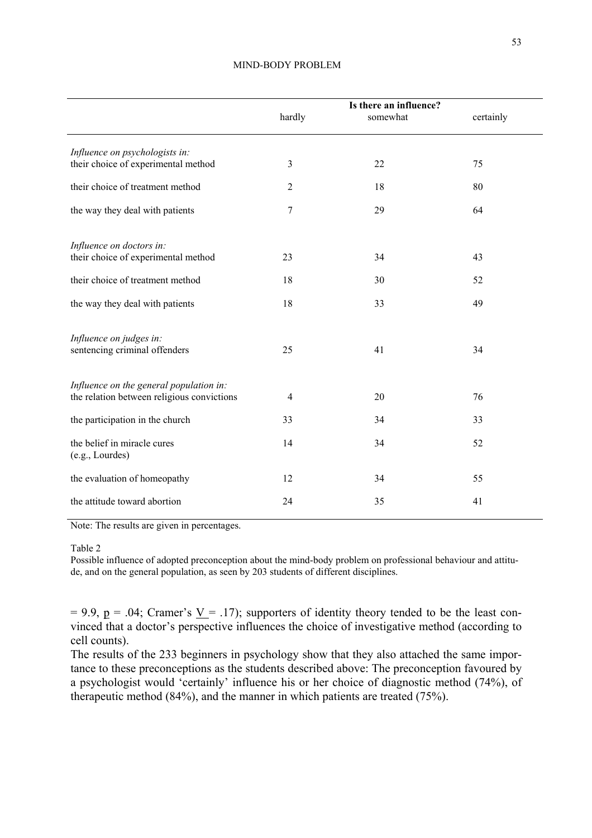|                                                                       |                | Is there an influence? |           |
|-----------------------------------------------------------------------|----------------|------------------------|-----------|
|                                                                       | hardly         | somewhat               | certainly |
|                                                                       |                |                        |           |
| Influence on psychologists in:<br>their choice of experimental method | $\mathfrak{Z}$ | 22                     | 75        |
|                                                                       |                |                        |           |
| their choice of treatment method                                      | $\overline{2}$ | 18                     | 80        |
| the way they deal with patients                                       | 7              | 29                     | 64        |
|                                                                       |                |                        |           |
| Influence on doctors in:                                              |                |                        |           |
| their choice of experimental method                                   | 23             | 34                     | 43        |
| their choice of treatment method                                      | 18             | 30                     | 52        |
| the way they deal with patients                                       | 18             | 33                     | 49        |
|                                                                       |                |                        |           |
| Influence on judges in:                                               |                |                        |           |
| sentencing criminal offenders                                         | 25             | 41                     | 34        |
|                                                                       |                |                        |           |
| Influence on the general population in:                               |                |                        |           |
| the relation between religious convictions                            | $\overline{4}$ | 20                     | 76        |
| the participation in the church                                       | 33             | 34                     | 33        |
| the belief in miracle cures                                           | 14             | 34                     | 52        |
| (e.g., Lourdes)                                                       |                |                        |           |
| the evaluation of homeopathy                                          | 12             | 34                     | 55        |
| the attitude toward abortion                                          | 24             | 35                     | 41        |
|                                                                       |                |                        |           |

#### MIND-BODY PROBLEM

Note: The results are given in percentages.

Table 2

Possible influence of adopted preconception about the mind-body problem on professional behaviour and attitude, and on the general population, as seen by 203 students of different disciplines.

 $= 9.9$ ,  $p = .04$ ; Cramer's  $V = .17$ ); supporters of identity theory tended to be the least convinced that a doctor's perspective influences the choice of investigative method (according to cell counts).

The results of the 233 beginners in psychology show that they also attached the same importance to these preconceptions as the students described above: The preconception favoured by a psychologist would 'certainly' influence his or her choice of diagnostic method (74%), of therapeutic method (84%), and the manner in which patients are treated (75%).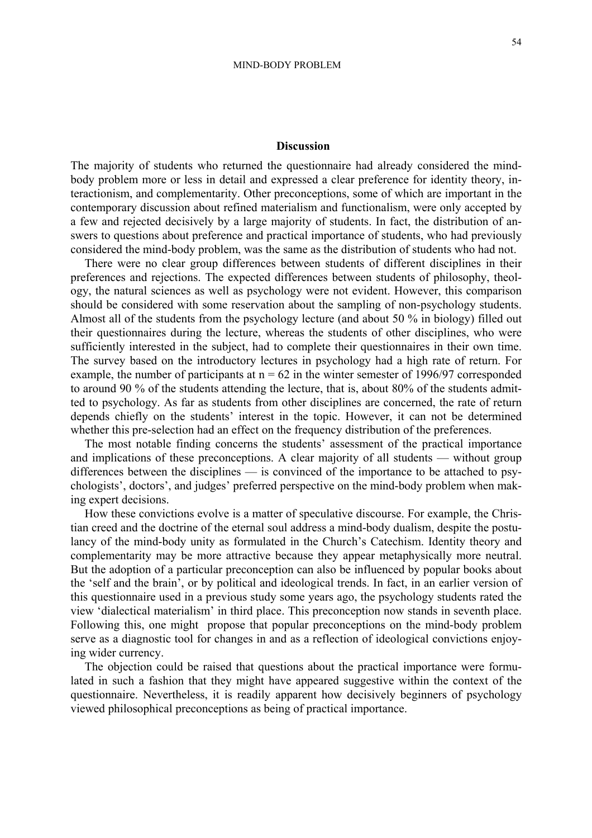The majority of students who returned the questionnaire had already considered the mindbody problem more or less in detail and expressed a clear preference for identity theory, interactionism, and complementarity. Other preconceptions, some of which are important in the contemporary discussion about refined materialism and functionalism, were only accepted by a few and rejected decisively by a large majority of students. In fact, the distribution of answers to questions about preference and practical importance of students, who had previously considered the mind-body problem, was the same as the distribution of students who had not.

There were no clear group differences between students of different disciplines in their preferences and rejections. The expected differences between students of philosophy, theology, the natural sciences as well as psychology were not evident. However, this comparison should be considered with some reservation about the sampling of non-psychology students. Almost all of the students from the psychology lecture (and about 50 % in biology) filled out their questionnaires during the lecture, whereas the students of other disciplines, who were sufficiently interested in the subject, had to complete their questionnaires in their own time. The survey based on the introductory lectures in psychology had a high rate of return. For example, the number of participants at  $n = 62$  in the winter semester of 1996/97 corresponded to around 90 % of the students attending the lecture, that is, about 80% of the students admitted to psychology. As far as students from other disciplines are concerned, the rate of return depends chiefly on the students' interest in the topic. However, it can not be determined whether this pre-selection had an effect on the frequency distribution of the preferences.

The most notable finding concerns the students' assessment of the practical importance and implications of these preconceptions. A clear majority of all students — without group differences between the disciplines — is convinced of the importance to be attached to psychologists', doctors', and judges' preferred perspective on the mind-body problem when making expert decisions.

How these convictions evolve is a matter of speculative discourse. For example, the Christian creed and the doctrine of the eternal soul address a mind-body dualism, despite the postulancy of the mind-body unity as formulated in the Church's Catechism. Identity theory and complementarity may be more attractive because they appear metaphysically more neutral. But the adoption of a particular preconception can also be influenced by popular books about the 'self and the brain', or by political and ideological trends. In fact, in an earlier version of this questionnaire used in a previous study some years ago, the psychology students rated the view 'dialectical materialism' in third place. This preconception now stands in seventh place. Following this, one might propose that popular preconceptions on the mind-body problem serve as a diagnostic tool for changes in and as a reflection of ideological convictions enjoying wider currency.

The objection could be raised that questions about the practical importance were formulated in such a fashion that they might have appeared suggestive within the context of the questionnaire. Nevertheless, it is readily apparent how decisively beginners of psychology viewed philosophical preconceptions as being of practical importance.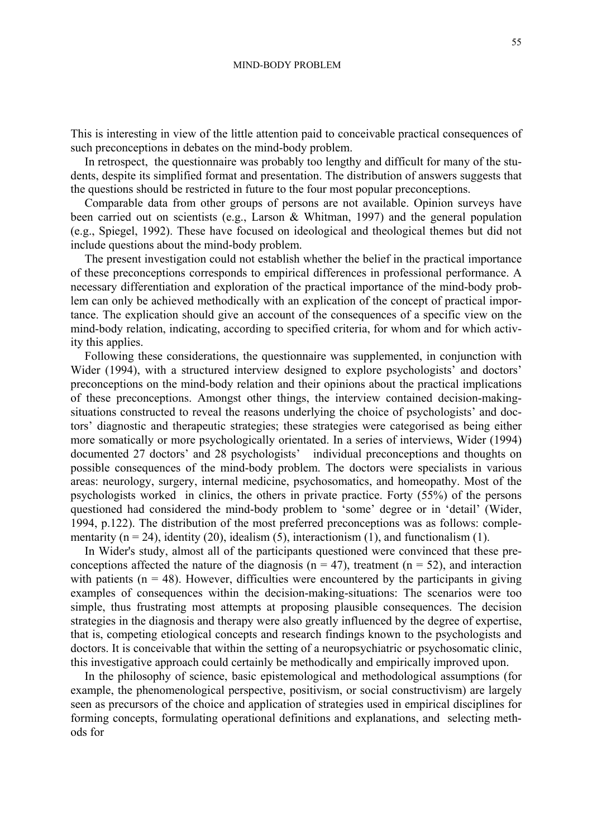This is interesting in view of the little attention paid to conceivable practical consequences of such preconceptions in debates on the mind-body problem.

In retrospect, the questionnaire was probably too lengthy and difficult for many of the students, despite its simplified format and presentation. The distribution of answers suggests that the questions should be restricted in future to the four most popular preconceptions.

Comparable data from other groups of persons are not available. Opinion surveys have been carried out on scientists (e.g., Larson & Whitman, 1997) and the general population (e.g., Spiegel, 1992). These have focused on ideological and theological themes but did not include questions about the mind-body problem.

The present investigation could not establish whether the belief in the practical importance of these preconceptions corresponds to empirical differences in professional performance. A necessary differentiation and exploration of the practical importance of the mind-body problem can only be achieved methodically with an explication of the concept of practical importance. The explication should give an account of the consequences of a specific view on the mind-body relation, indicating, according to specified criteria, for whom and for which activity this applies.

Following these considerations, the questionnaire was supplemented, in conjunction with Wider (1994), with a structured interview designed to explore psychologists' and doctors' preconceptions on the mind-body relation and their opinions about the practical implications of these preconceptions. Amongst other things, the interview contained decision-makingsituations constructed to reveal the reasons underlying the choice of psychologists' and doctors' diagnostic and therapeutic strategies; these strategies were categorised as being either more somatically or more psychologically orientated. In a series of interviews, Wider (1994) documented 27 doctors' and 28 psychologists' individual preconceptions and thoughts on possible consequences of the mind-body problem. The doctors were specialists in various areas: neurology, surgery, internal medicine, psychosomatics, and homeopathy. Most of the psychologists worked in clinics, the others in private practice. Forty (55%) of the persons questioned had considered the mind-body problem to 'some' degree or in 'detail' (Wider, 1994, p.122). The distribution of the most preferred preconceptions was as follows: complementarity ( $n = 24$ ), identity (20), idealism (5), interactionism (1), and functionalism (1).

In Wider's study, almost all of the participants questioned were convinced that these preconceptions affected the nature of the diagnosis ( $n = 47$ ), treatment ( $n = 52$ ), and interaction with patients ( $n = 48$ ). However, difficulties were encountered by the participants in giving examples of consequences within the decision-making-situations: The scenarios were too simple, thus frustrating most attempts at proposing plausible consequences. The decision strategies in the diagnosis and therapy were also greatly influenced by the degree of expertise, that is, competing etiological concepts and research findings known to the psychologists and doctors. It is conceivable that within the setting of a neuropsychiatric or psychosomatic clinic, this investigative approach could certainly be methodically and empirically improved upon.

In the philosophy of science, basic epistemological and methodological assumptions (for example, the phenomenological perspective, positivism, or social constructivism) are largely seen as precursors of the choice and application of strategies used in empirical disciplines for forming concepts, formulating operational definitions and explanations, and selecting methods for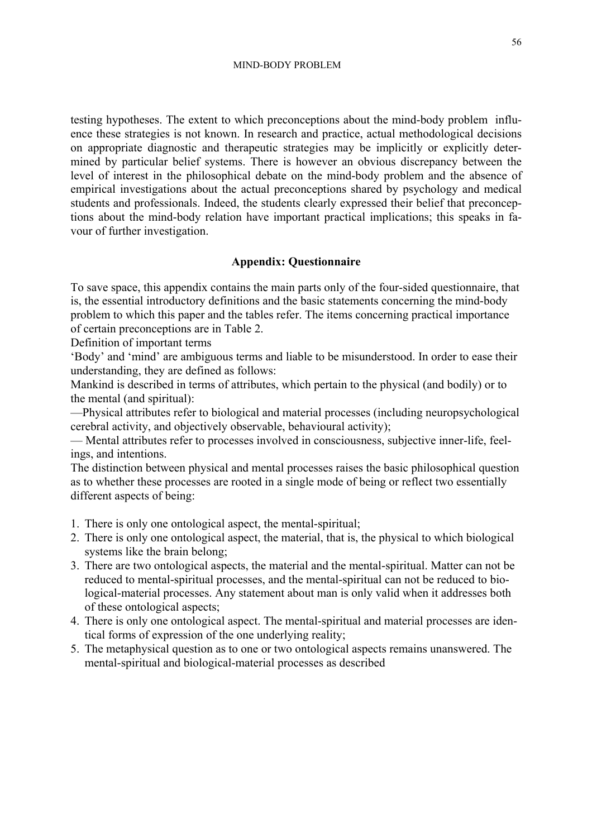testing hypotheses. The extent to which preconceptions about the mind-body problem influence these strategies is not known. In research and practice, actual methodological decisions on appropriate diagnostic and therapeutic strategies may be implicitly or explicitly determined by particular belief systems. There is however an obvious discrepancy between the level of interest in the philosophical debate on the mind-body problem and the absence of empirical investigations about the actual preconceptions shared by psychology and medical students and professionals. Indeed, the students clearly expressed their belief that preconceptions about the mind-body relation have important practical implications; this speaks in favour of further investigation.

# **Appendix: Questionnaire**

To save space, this appendix contains the main parts only of the four-sided questionnaire, that is, the essential introductory definitions and the basic statements concerning the mind-body problem to which this paper and the tables refer. The items concerning practical importance of certain preconceptions are in Table 2.

Definition of important terms

'Body' and 'mind' are ambiguous terms and liable to be misunderstood. In order to ease their understanding, they are defined as follows:

Mankind is described in terms of attributes, which pertain to the physical (and bodily) or to the mental (and spiritual):

—Physical attributes refer to biological and material processes (including neuropsychological cerebral activity, and objectively observable, behavioural activity);

— Mental attributes refer to processes involved in consciousness, subjective inner-life, feelings, and intentions.

The distinction between physical and mental processes raises the basic philosophical question as to whether these processes are rooted in a single mode of being or reflect two essentially different aspects of being:

- 1. There is only one ontological aspect, the mental-spiritual;
- 2. There is only one ontological aspect, the material, that is, the physical to which biological systems like the brain belong;
- 3. There are two ontological aspects, the material and the mental-spiritual. Matter can not be reduced to mental-spiritual processes, and the mental-spiritual can not be reduced to biological-material processes. Any statement about man is only valid when it addresses both of these ontological aspects;
- 4. There is only one ontological aspect. The mental-spiritual and material processes are identical forms of expression of the one underlying reality;
- 5. The metaphysical question as to one or two ontological aspects remains unanswered. The mental-spiritual and biological-material processes as described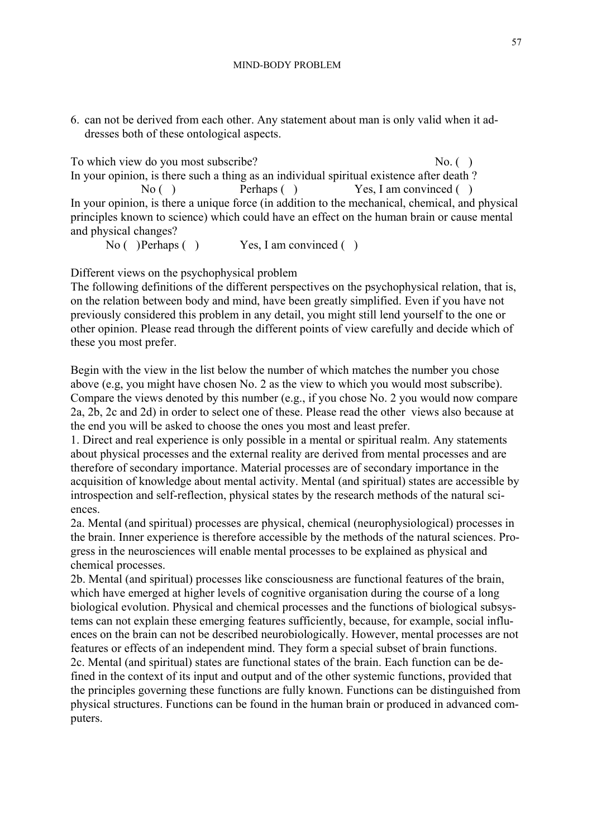6. can not be derived from each other. Any statement about man is only valid when it addresses both of these ontological aspects.

To which view do you most subscribe? No. ( ) In your opinion, is there such a thing as an individual spiritual existence after death ? No ( ) Perhaps ( ) Yes, I am convinced ( ) In your opinion, is there a unique force (in addition to the mechanical, chemical, and physical principles known to science) which could have an effect on the human brain or cause mental and physical changes?

No ( ) Perhaps ( ) Yes, I am convinced ( )

Different views on the psychophysical problem

The following definitions of the different perspectives on the psychophysical relation, that is, on the relation between body and mind, have been greatly simplified. Even if you have not previously considered this problem in any detail, you might still lend yourself to the one or other opinion. Please read through the different points of view carefully and decide which of these you most prefer.

Begin with the view in the list below the number of which matches the number you chose above (e.g, you might have chosen No. 2 as the view to which you would most subscribe). Compare the views denoted by this number (e.g., if you chose No. 2 you would now compare 2a, 2b, 2c and 2d) in order to select one of these. Please read the other views also because at the end you will be asked to choose the ones you most and least prefer.

1. Direct and real experience is only possible in a mental or spiritual realm. Any statements about physical processes and the external reality are derived from mental processes and are therefore of secondary importance. Material processes are of secondary importance in the acquisition of knowledge about mental activity. Mental (and spiritual) states are accessible by introspection and self-reflection, physical states by the research methods of the natural sciences.

2a. Mental (and spiritual) processes are physical, chemical (neurophysiological) processes in the brain. Inner experience is therefore accessible by the methods of the natural sciences. Progress in the neurosciences will enable mental processes to be explained as physical and chemical processes.

2b. Mental (and spiritual) processes like consciousness are functional features of the brain, which have emerged at higher levels of cognitive organisation during the course of a long biological evolution. Physical and chemical processes and the functions of biological subsystems can not explain these emerging features sufficiently, because, for example, social influences on the brain can not be described neurobiologically. However, mental processes are not features or effects of an independent mind. They form a special subset of brain functions. 2c. Mental (and spiritual) states are functional states of the brain. Each function can be defined in the context of its input and output and of the other systemic functions, provided that the principles governing these functions are fully known. Functions can be distinguished from physical structures. Functions can be found in the human brain or produced in advanced computers.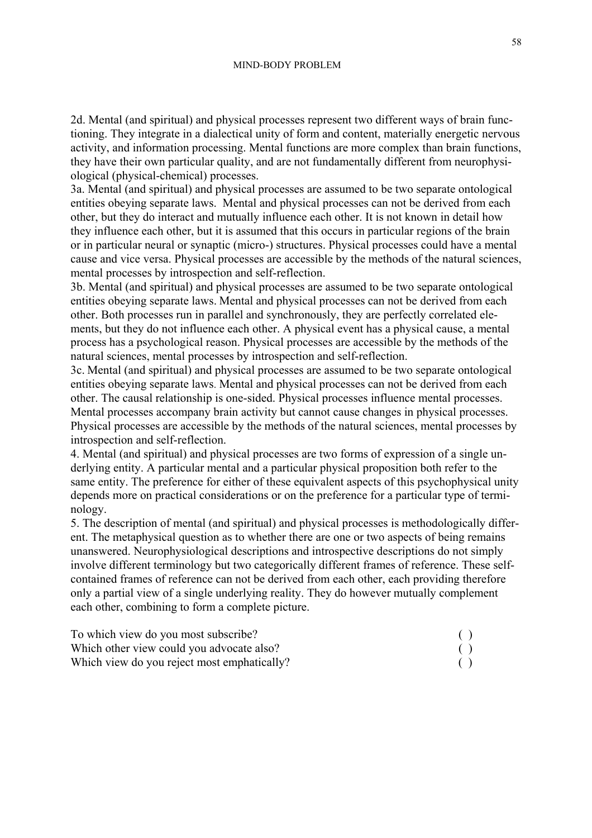2d. Mental (and spiritual) and physical processes represent two different ways of brain functioning. They integrate in a dialectical unity of form and content, materially energetic nervous activity, and information processing. Mental functions are more complex than brain functions, they have their own particular quality, and are not fundamentally different from neurophysiological (physical-chemical) processes.

3a. Mental (and spiritual) and physical processes are assumed to be two separate ontological entities obeying separate laws. Mental and physical processes can not be derived from each other, but they do interact and mutually influence each other. It is not known in detail how they influence each other, but it is assumed that this occurs in particular regions of the brain or in particular neural or synaptic (micro-) structures. Physical processes could have a mental cause and vice versa. Physical processes are accessible by the methods of the natural sciences, mental processes by introspection and self-reflection.

3b. Mental (and spiritual) and physical processes are assumed to be two separate ontological entities obeying separate laws. Mental and physical processes can not be derived from each other. Both processes run in parallel and synchronously, they are perfectly correlated elements, but they do not influence each other. A physical event has a physical cause, a mental process has a psychological reason. Physical processes are accessible by the methods of the natural sciences, mental processes by introspection and self-reflection.

3c. Mental (and spiritual) and physical processes are assumed to be two separate ontological entities obeying separate laws. Mental and physical processes can not be derived from each other. The causal relationship is one-sided. Physical processes influence mental processes. Mental processes accompany brain activity but cannot cause changes in physical processes. Physical processes are accessible by the methods of the natural sciences, mental processes by introspection and self-reflection.

4. Mental (and spiritual) and physical processes are two forms of expression of a single u nderlying entity. A particular mental and a particular physical proposition both refer to the same entity. The preference for either of these equivalent aspects of this psychophysical unity depends more on practical considerations or on the preference for a particular type of terminology.

5. The description of mental (and spiritual) and physical processes is methodologically different. The metaphysical question as to whether there are one or two aspects of being remains unanswered. Neurophysiological descriptions and introspective descriptions do not simply involve different terminology but two categorically different frames of reference. These selfcontained frames of reference can not be derived from each other, each providing therefore only a partial view of a single underlying reality. They do however mutually complement each other, combining to form a complete picture.

| To which view do you most subscribe?        |  |
|---------------------------------------------|--|
| Which other view could you advocate also?   |  |
| Which view do you reject most emphatically? |  |